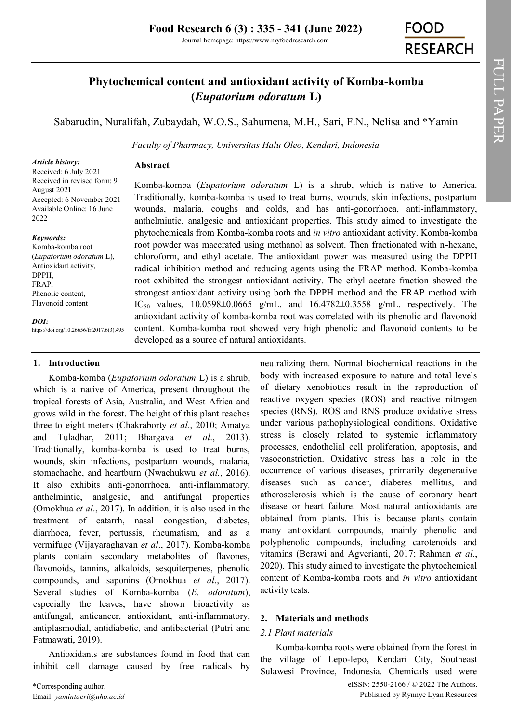Journal homepage: https://www.myfoodresearch.com

# **Phytochemical content and antioxidant activity of Komba-komba (***Eupatorium odoratum* **L)**

[Sabarudin,](https://orcid.org/0000-0003-3485-2319) Nuralifah, Zubaydah, W.O.S., Sahumena, M.H., Sari, F.N., Nelisa and \*[Yamin](https://orcid.org/0000-0002-6216-6896)

*Faculty of Pharmacy, Universitas Halu Oleo, Kendari, Indonesia*

#### *Article history:*

Received: 6 July 2021 Received in revised form: 9 August 2021 Accepted: 6 November 2021 Available Online: 16 June 2022

#### *Keywords:*

Komba-komba root (*Eupatorium odoratum* L), Antioxidant activity, DPPH, FRAP, Phenolic content, Flavonoid content

*DOI:*

https://doi.org/10.26656/fr.2017.6(3).495

#### **1. Introduction**

Komba-komba (*Eupatorium odoratum* L) is a shrub, which is a native of America, present throughout the tropical forests of Asia, Australia, and West Africa and grows wild in the forest. The height of this plant reaches three to eight meters (Chakraborty *et al*., 2010; Amatya and Tuladhar, 2011; Bhargava *et al*., 2013). Traditionally, komba-komba is used to treat burns, wounds, skin infections, postpartum wounds, malaria, stomachache, and heartburn (Nwachukwu *et al.*, 2016). It also exhibits anti-gonorrhoea, anti-inflammatory, anthelmintic, analgesic, and antifungal properties (Omokhua *et al*., 2017). In addition, it is also used in the treatment of catarrh, nasal congestion, diabetes, diarrhoea, fever, pertussis, rheumatism, and as a vermifuge (Vijayaraghavan *et al*., 2017). Komba-komba plants contain secondary metabolites of flavones, flavonoids, tannins, alkaloids, sesquiterpenes, phenolic compounds, and saponins (Omokhua *et al*., 2017). Several studies of Komba-komba (*E. odoratum*), especially the leaves, have shown bioactivity as antifungal, anticancer, antioxidant, anti-inflammatory, antiplasmodial, antidiabetic, and antibacterial (Putri and Fatmawati, 2019).

**Abstract**

Antioxidants are substances found in food that can inhibit cell damage caused by free radicals by

Komba-komba (*Eupatorium odoratum* L) is a shrub, which is native to America. Traditionally, komba-komba is used to treat burns, wounds, skin infections, postpartum wounds, malaria, coughs and colds, and has anti-gonorrhoea, anti-inflammatory, anthelmintic, analgesic and antioxidant properties. This study aimed to investigate the phytochemicals from Komba-komba roots and *in vitro* antioxidant activity. Komba-komba root powder was macerated using methanol as solvent. Then fractionated with n-hexane, chloroform, and ethyl acetate. The antioxidant power was measured using the DPPH radical inhibition method and reducing agents using the FRAP method. Komba-komba root exhibited the strongest antioxidant activity. The ethyl acetate fraction showed the strongest antioxidant activity using both the DPPH method and the FRAP method with IC<sub>50</sub> values,  $10.0598 \pm 0.0665$  g/mL, and  $16.4782 \pm 0.3558$  g/mL, respectively. The antioxidant activity of komba-komba root was correlated with its phenolic and flavonoid content. Komba-komba root showed very high phenolic and flavonoid contents to be developed as a source of natural antioxidants.

> neutralizing them. Normal biochemical reactions in the body with increased exposure to nature and total levels of dietary xenobiotics result in the reproduction of reactive oxygen species (ROS) and reactive nitrogen species (RNS). ROS and RNS produce oxidative stress under various pathophysiological conditions. Oxidative stress is closely related to systemic inflammatory processes, endothelial cell proliferation, apoptosis, and vasoconstriction. Oxidative stress has a role in the occurrence of various diseases, primarily degenerative diseases such as cancer, diabetes mellitus, and atherosclerosis which is the cause of coronary heart disease or heart failure. Most natural antioxidants are obtained from plants. This is because plants contain many antioxidant compounds, mainly phenolic and polyphenolic compounds, including carotenoids and vitamins (Berawi and Agverianti, 2017; Rahman *et al*., 2020). This study aimed to investigate the phytochemical content of Komba-komba roots and *in vitro* antioxidant activity tests.

# **2. Materials and methods**

# *2.1 Plant materials*

Komba-komba roots were obtained from the forest in the village of Lepo-lepo, Kendari City, Southeast Sulawesi Province, Indonesia. Chemicals used were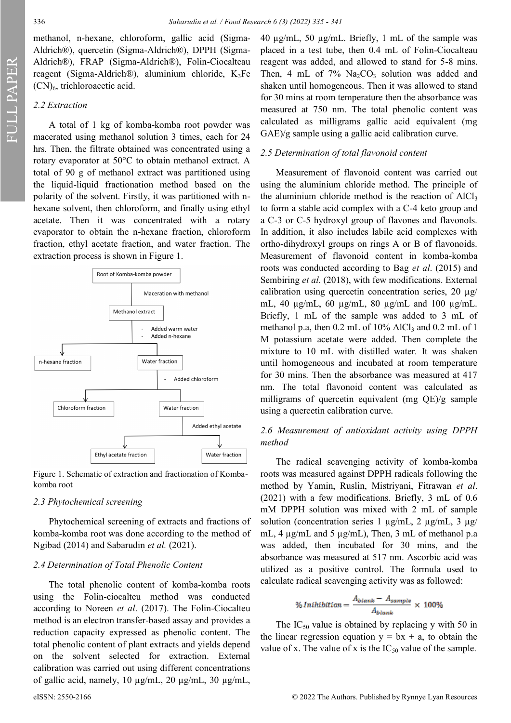FULL PAPER

methanol, n-hexane, chloroform, gallic acid (Sigma-Aldrich®), quercetin (Sigma-Aldrich®), DPPH (Sigma-Aldrich®), FRAP (Sigma-Aldrich®), Folin-Ciocalteau reagent (Sigma-Aldrich®), aluminium chloride,  $K_3Fe$ (CN)6, trichloroacetic acid.

## *2.2 Extraction*

A total of 1 kg of komba-komba root powder was macerated using methanol solution 3 times, each for 24 hrs. Then, the filtrate obtained was concentrated using a rotary evaporator at 50°C to obtain methanol extract. A total of 90 g of methanol extract was partitioned using the liquid-liquid fractionation method based on the polarity of the solvent. Firstly, it was partitioned with nhexane solvent, then chloroform, and finally using ethyl acetate. Then it was concentrated with a rotary evaporator to obtain the n-hexane fraction, chloroform fraction, ethyl acetate fraction, and water fraction. The extraction process is shown in Figure 1.



Figure 1. Schematic of extraction and fractionation of Kombakomba root

#### *2.3 Phytochemical screening*

Phytochemical screening of extracts and fractions of komba-komba root was done according to the method of Ngibad (2014) and Sabarudin *et al.* (2021).

#### *2.4 Determination of Total Phenolic Content*

The total phenolic content of komba-komba roots using the Folin-ciocalteu method was conducted according to Noreen *et al*. (2017). The Folin-Ciocalteu method is an electron transfer-based assay and provides a reduction capacity expressed as phenolic content. The total phenolic content of plant extracts and yields depend on the solvent selected for extraction. External calibration was carried out using different concentrations of gallic acid, namely, 10 µg/mL, 20 µg/mL, 30 µg/mL,

40 µg/mL, 50 µg/mL. Briefly, 1 mL of the sample was placed in a test tube, then 0.4 mL of Folin-Ciocalteau reagent was added, and allowed to stand for 5-8 mins. Then, 4 mL of 7%  $Na<sub>2</sub>CO<sub>3</sub>$  solution was added and shaken until homogeneous. Then it was allowed to stand for 30 mins at room temperature then the absorbance was measured at 750 nm. The total phenolic content was calculated as milligrams gallic acid equivalent (mg GAE)/g sample using a gallic acid calibration curve.

## *2.5 Determination of total flavonoid content*

Measurement of flavonoid content was carried out using the aluminium chloride method. The principle of the aluminium chloride method is the reaction of  $AICI<sub>3</sub>$ to form a stable acid complex with a C-4 keto group and a C-3 or C-5 hydroxyl group of flavones and flavonols. In addition, it also includes labile acid complexes with ortho-dihydroxyl groups on rings A or B of flavonoids. Measurement of flavonoid content in komba-komba roots was conducted according to Bag *et al*. (2015) and Sembiring *et al*. (2018), with few modifications. External calibration using quercetin concentration series,  $20 \mu g$ / mL, 40 µg/mL, 60 µg/mL, 80 µg/mL and 100 µg/mL. Briefly, 1 mL of the sample was added to 3 mL of methanol p.a, then  $0.2$  mL of  $10\%$  AlCl<sub>3</sub> and  $0.2$  mL of 1 M potassium acetate were added. Then complete the mixture to 10 mL with distilled water. It was shaken until homogeneous and incubated at room temperature for 30 mins. Then the absorbance was measured at 417 nm. The total flavonoid content was calculated as milligrams of quercetin equivalent (mg QE)/g sample using a quercetin calibration curve.

# *2.6 Measurement of antioxidant activity using DPPH method*

The radical scavenging activity of komba-komba roots was measured against DPPH radicals following the method by Yamin, Ruslin, Mistriyani, Fitrawan *et al*. (2021) with a few modifications. Briefly, 3 mL of 0.6 mM DPPH solution was mixed with 2 mL of sample solution (concentration series 1  $\mu$ g/mL, 2  $\mu$ g/mL, 3  $\mu$ g/ mL, 4 µg/mL and 5 µg/mL), Then, 3 mL of methanol p.a was added, then incubated for 30 mins, and the absorbance was measured at 517 nm. Ascorbic acid was utilized as a positive control. The formula used to calculate radical scavenging activity was as followed:

$$
\% Inhibition = \frac{A_{blank} - A_{sample}}{A_{blank}} \times 100\%
$$

The  $IC_{50}$  value is obtained by replacing y with 50 in the linear regression equation  $y = bx + a$ , to obtain the value of x. The value of x is the  $IC_{50}$  value of the sample.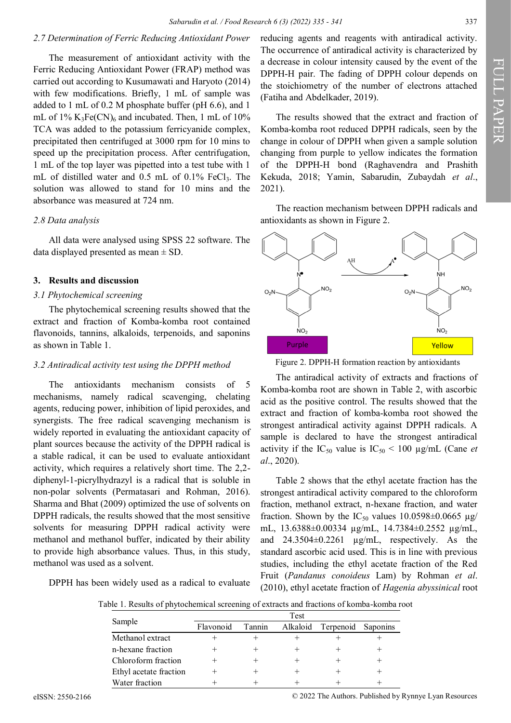# *2.7 Determination of Ferric Reducing Antioxidant Power*

The measurement of antioxidant activity with the Ferric Reducing Antioxidant Power (FRAP) method was carried out according to Kusumawati and Haryoto (2014) with few modifications. Briefly, 1 mL of sample was added to 1 mL of 0.2 M phosphate buffer (pH 6.6), and 1 mL of  $1\%$  K<sub>3</sub>Fe(CN)<sub>6</sub> and incubated. Then, 1 mL of  $10\%$ TCA was added to the potassium ferricyanide complex, precipitated then centrifuged at 3000 rpm for 10 mins to speed up the precipitation process. After centrifugation, 1 mL of the top layer was pipetted into a test tube with 1 mL of distilled water and  $0.5$  mL of  $0.1\%$  FeCl<sub>3</sub>. The solution was allowed to stand for 10 mins and the absorbance was measured at 724 nm.

## *2.8 Data analysis*

All data were analysed using SPSS 22 software. The data displayed presented as mean  $\pm$  SD.

# **3. Results and discussion**

# *3.1 Phytochemical screening*

The phytochemical screening results showed that the extract and fraction of Komba-komba root contained flavonoids, tannins, alkaloids, terpenoids, and saponins as shown in Table 1.

#### *3.2 Antiradical activity test using the DPPH method*

The antioxidants mechanism consists of 5 mechanisms, namely radical scavenging, chelating agents, reducing power, inhibition of lipid peroxides, and synergists. The free radical scavenging mechanism is widely reported in evaluating the antioxidant capacity of plant sources because the activity of the DPPH radical is a stable radical, it can be used to evaluate antioxidant activity, which requires a relatively short time. The 2,2 diphenyl-1-picrylhydrazyl is a radical that is soluble in non-polar solvents (Permatasari and Rohman, 2016). Sharma and Bhat (2009) optimized the use of solvents on DPPH radicals, the results showed that the most sensitive solvents for measuring DPPH radical activity were methanol and methanol buffer, indicated by their ability to provide high absorbance values. Thus, in this study, methanol was used as a solvent.

DPPH has been widely used as a radical to evaluate

reducing agents and reagents with antiradical activity. The occurrence of antiradical activity is characterized by a decrease in colour intensity caused by the event of the DPPH-H pair. The fading of DPPH colour depends on the stoichiometry of the number of electrons attached (Fatiha and Abdelkader, 2019).

The results showed that the extract and fraction of Komba-komba root reduced DPPH radicals, seen by the change in colour of DPPH when given a sample solution changing from purple to yellow indicates the formation of the DPPH-H bond (Raghavendra and Prashith Kekuda, 2018; Yamin, Sabarudin, Zubaydah *et al*., 2021).

The reaction mechanism between DPPH radicals and antioxidants as shown in Figure 2.



Figure 2. DPPH-H formation reaction by antioxidants

The antiradical activity of extracts and fractions of Komba-komba root are shown in Table 2, with ascorbic acid as the positive control. The results showed that the extract and fraction of komba-komba root showed the strongest antiradical activity against DPPH radicals. A sample is declared to have the strongest antiradical activity if the  $IC_{50}$  value is  $IC_{50}$  < 100 µg/mL (Cane *et al*., 2020).

Table 2 shows that the ethyl acetate fraction has the strongest antiradical activity compared to the chloroform fraction, methanol extract, n-hexane fraction, and water fraction. Shown by the IC<sub>50</sub> values  $10.0598\pm0.0665$  µg/ mL, 13.6388±0.00334 µg/mL, 14.7384±0.2552 µg/mL, and 24.3504±0.2261 µg/mL, respectively. As the standard ascorbic acid used. This is in line with previous studies, including the ethyl acetate fraction of the Red Fruit (*Pandanus conoideus* Lam) by Rohman *et al*. (2010), ethyl acetate fraction of *Hagenia abyssinical* root

Table 1. Results of phytochemical screening of extracts and fractions of komba-komba root

| Sample                 | Test      |        |          |                    |  |
|------------------------|-----------|--------|----------|--------------------|--|
|                        | Flavonoid | Tannin | Alkaloid | Terpenoid Saponins |  |
| Methanol extract       |           |        |          |                    |  |
| n-hexane fraction      |           |        |          |                    |  |
| Chloroform fraction    |           |        |          |                    |  |
| Ethyl acetate fraction |           |        |          |                    |  |
| Water fraction         |           |        |          |                    |  |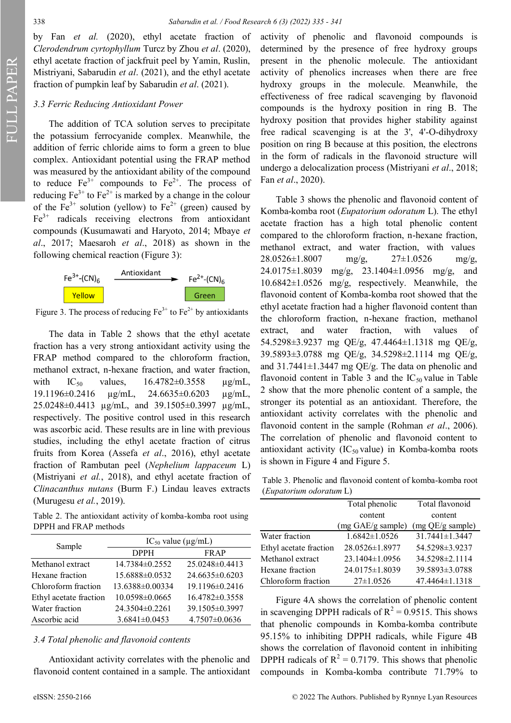FULL PAPER

by Fan *et al.* (2020), ethyl acetate fraction of *Clerodendrum cyrtophyllum* Turcz by Zhou *et al*. (2020), ethyl acetate fraction of jackfruit peel by Yamin, Ruslin, Mistriyani, Sabarudin *et al*. (2021), and the ethyl acetate fraction of pumpkin leaf by Sabarudin *et al*. (2021).

# *3.3 Ferric Reducing Antioxidant Power*

The addition of TCA solution serves to precipitate the potassium ferrocyanide complex. Meanwhile, the addition of ferric chloride aims to form a green to blue complex. Antioxidant potential using the FRAP method was measured by the antioxidant ability of the compound to reduce  $Fe^{3+}$  compounds to  $Fe^{2+}$ . The process of reducing  $Fe^{3+}$  to  $Fe^{2+}$  is marked by a change in the colour of the Fe<sup>3+</sup> solution (yellow) to  $Fe^{2+}$  (green) caused by  $Fe<sup>3+</sup>$  radicals receiving electrons from antioxidant compounds (Kusumawati and Haryoto, 2014; Mbaye *et al*., 2017; Maesaroh *et al*., 2018) as shown in the following chemical reaction (Figure 3):



Figure 3. The process of reducing  $Fe^{3+}$  to  $Fe^{2+}$  by antioxidants

The data in Table 2 shows that the ethyl acetate fraction has a very strong antioxidant activity using the FRAP method compared to the chloroform fraction, methanol extract, n-hexane fraction, and water fraction, with  $IC_{50}$  values,  $16.4782 \pm 0.3558$   $\mu$ g/mL, 19.1196±0.2416 µg/mL, 24.6635±0.6203 µg/mL, 25.0248±0.4413 µg/mL, and 39.1505±0.3997 µg/mL, respectively. The positive control used in this research was ascorbic acid. These results are in line with previous studies, including the ethyl acetate fraction of citrus fruits from Korea (Assefa *et al*., 2016), ethyl acetate fraction of Rambutan peel (*Nephelium lappaceum* L) (Mistriyani *et al.*, 2018), and ethyl acetate fraction of *Clinacanthus nutans* (Burm F.) Lindau leaves extracts (Murugesu *et al.*, 2019).

Table 2. The antioxidant activity of komba-komba root using DPPH and FRAP methods

| Sample                 | $IC_{50}$ value ( $\mu$ g/mL) |                     |  |  |
|------------------------|-------------------------------|---------------------|--|--|
|                        | <b>DPPH</b>                   | <b>FRAP</b>         |  |  |
| Methanol extract       | 14.7384±0.2552                | 25.0248±0.4413      |  |  |
| Hexane fraction        | 15.6888±0.0532                | 24.6635±0.6203      |  |  |
| Chloroform fraction    | 13.6388±0.00334               | 19.1196±0.2416      |  |  |
| Ethyl acetate fraction | 10.0598±0.0665                | 16.4782±0.3558      |  |  |
| Water fraction         | 24.3504±0.2261                | 39.1505±0.3997      |  |  |
| Ascorbic acid          | $3.6841 \pm 0.0453$           | $4.7507 \pm 0.0636$ |  |  |

## *3.4 Total phenolic and flavonoid contents*

Antioxidant activity correlates with the phenolic and flavonoid content contained in a sample. The antioxidant

activity of phenolic and flavonoid compounds is determined by the presence of free hydroxy groups present in the phenolic molecule. The antioxidant activity of phenolics increases when there are free hydroxy groups in the molecule. Meanwhile, the effectiveness of free radical scavenging by flavonoid compounds is the hydroxy position in ring B. The hydroxy position that provides higher stability against free radical scavenging is at the 3', 4'-O-dihydroxy position on ring B because at this position, the electrons in the form of radicals in the flavonoid structure will undergo a delocalization process (Mistriyani *et al*., 2018; Fan *et al*., 2020).

Table 3 shows the phenolic and flavonoid content of Komba-komba root (*Eupatorium odoratum* L). The ethyl acetate fraction has a high total phenolic content compared to the chloroform fraction, n-hexane fraction, methanol extract, and water fraction, with values  $28.0526\pm1.8007$  mg/g,  $27\pm1.0526$  mg/g, 24.0175±1.8039 mg/g, 23.1404±1.0956 mg/g, and 10.6842±1.0526 mg/g, respectively. Meanwhile, the flavonoid content of Komba-komba root showed that the ethyl acetate fraction had a higher flavonoid content than the chloroform fraction, n-hexane fraction, methanol extract, and water fraction, with values of 54.5298±3.9237 mg QE/g, 47.4464±1.1318 mg QE/g, 39.5893±3.0788 mg QE/g, 34.5298±2.1114 mg QE/g, and  $31.7441 \pm 1.3447$  mg QE/g. The data on phenolic and flavonoid content in Table 3 and the  $IC_{50}$  value in Table 2 show that the more phenolic content of a sample, the stronger its potential as an antioxidant. Therefore, the antioxidant activity correlates with the phenolic and flavonoid content in the sample (Rohman *et al*., 2006). The correlation of phenolic and flavonoid content to antioxidant activity (IC $_{50}$  value) in Komba-komba roots is shown in Figure 4 and Figure 5.

Table 3. Phenolic and flavonoid content of komba-komba root (*Eupatorium odoratum* L)

|                        | Total phenolic       | Total flavonoid  |  |
|------------------------|----------------------|------------------|--|
|                        | content              | content          |  |
|                        | (mg GAE/g sample)    | (mg QE/g sample) |  |
| Water fraction         | $1.6842 \pm 1.0526$  | 31.7441±1.3447   |  |
| Ethyl acetate fraction | $28.0526 \pm 1.8977$ | 54.5298±3.9237   |  |
| Methanol extract       | $23.1404\pm1.0956$   | 34.5298±2.1114   |  |
| Hexane fraction        | 24.0175±1.8039       | 39.5893±3.0788   |  |
| Chloroform fraction    | $27 \pm 1.0526$      | 47.4464±1.1318   |  |

Figure 4A shows the correlation of phenolic content in scavenging DPPH radicals of  $R^2 = 0.9515$ . This shows that phenolic compounds in Komba-komba contribute 95.15% to inhibiting DPPH radicals, while Figure 4B shows the correlation of flavonoid content in inhibiting DPPH radicals of  $R^2 = 0.7179$ . This shows that phenolic compounds in Komba-komba contribute 71.79% to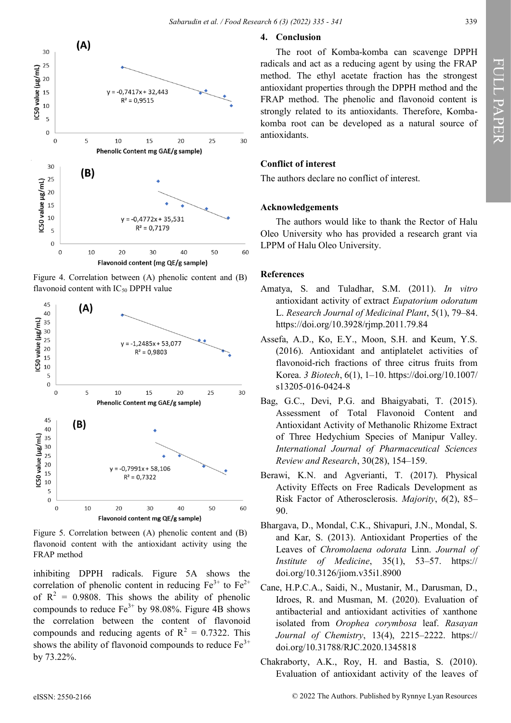

Figure 4. Correlation between (A) phenolic content and (B) flavonoid content with  $IC_{50}$  DPPH value



Figure 5. Correlation between (A) phenolic content and (B) flavonoid content with the antioxidant activity using the FRAP method

inhibiting DPPH radicals. Figure 5A shows the correlation of phenolic content in reducing  $Fe^{3+}$  to  $Fe^{2+}$ of  $R^2 = 0.9808$ . This shows the ability of phenolic compounds to reduce  $Fe^{3+}$  by 98.08%. Figure 4B shows the correlation between the content of flavonoid compounds and reducing agents of  $R^2 = 0.7322$ . This shows the ability of flavonoid compounds to reduce  $Fe<sup>3+</sup>$ by 73.22%.

# **4. Conclusion**

The root of Komba-komba can scavenge DPPH radicals and act as a reducing agent by using the FRAP method. The ethyl acetate fraction has the strongest antioxidant properties through the DPPH method and the FRAP method. The phenolic and flavonoid content is strongly related to its antioxidants. Therefore, Kombakomba root can be developed as a natural source of antioxidants.

# **Conflict of interest**

The authors declare no conflict of interest.

#### **Acknowledgements**

The authors would like to thank the Rector of Halu Oleo University who has provided a research grant via LPPM of Halu Oleo University.

# **References**

- Amatya, S. and Tuladhar, S.M. (2011). *In vitro* antioxidant activity of extract *Eupatorium odoratum* L. *Research Journal of Medicinal Plant*, 5(1), 79–84. https://doi.org/10.3928/rjmp.2011.79.84
- Assefa, A.D., Ko, E.Y., Moon, S.H. and Keum, Y.S. (2016). Antioxidant and antiplatelet activities of flavonoid-rich fractions of three citrus fruits from Korea. *3 Biotech*, 6(1), 1–10. https://doi.org/10.1007/ s13205-016-0424-8
- Bag, G.C., Devi, P.G. and Bhaigyabati, T. (2015). Assessment of Total Flavonoid Content and Antioxidant Activity of Methanolic Rhizome Extract of Three Hedychium Species of Manipur Valley. *International Journal of Pharmaceutical Sciences Review and Research*, 30(28), 154–159.
- Berawi, K.N. and Agverianti, T. (2017). Physical Activity Effects on Free Radicals Development as Risk Factor of Atherosclerosis. *Majority*, *6*(2), 85– 90.
- Bhargava, D., Mondal, C.K., Shivapuri, J.N., Mondal, S. and Kar, S. (2013). Antioxidant Properties of the Leaves of *Chromolaena odorata* Linn. *Journal of Institute of Medicine*, 35(1), 53–57. https:// doi.org/10.3126/jiom.v35i1.8900
- Cane, H.P.C.A., Saidi, N., Mustanir, M., Darusman, D., Idroes, R. and Musman, M. (2020). Evaluation of antibacterial and antioxidant activities of xanthone isolated from *Orophea corymbosa* leaf. *Rasayan Journal of Chemistry*, 13(4), 2215–2222. https:// doi.org/10.31788/RJC.2020.1345818
- Chakraborty, A.K., Roy, H. and Bastia, S. (2010). Evaluation of antioxidant activity of the leaves of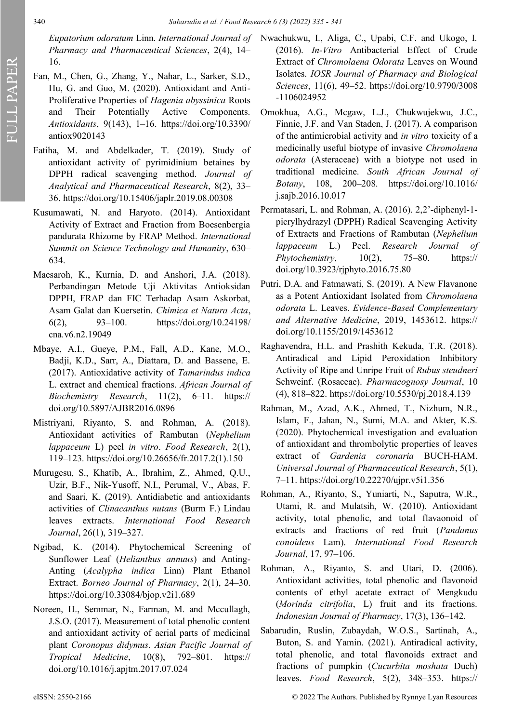*Pharmacy and Pharmaceutical Sciences*, 2(4), 14– 16.

- Fan, M., Chen, G., Zhang, Y., Nahar, L., Sarker, S.D., Hu, G. and Guo, M. (2020). Antioxidant and Anti-Proliferative Properties of *Hagenia abyssinica* Roots and Their Potentially Active Components. *Antioxidants*, 9(143), 1–16. https://doi.org/10.3390/ antiox9020143
- Fatiha, M. and Abdelkader, T. (2019). Study of antioxidant activity of pyrimidinium betaines by DPPH radical scavenging method. *Journal of Analytical and Pharmaceutical Research*, 8(2), 33– 36. https://doi.org/10.15406/japlr.2019.08.00308
- Kusumawati, N. and Haryoto. (2014). Antioxidant Activity of Extract and Fraction from Boesenbergia pandurata Rhizome by FRAP Method. *International Summit on Science Technology and Humanity*, 630– 634.
- Maesaroh, K., Kurnia, D. and Anshori, J.A. (2018). Perbandingan Metode Uji Aktivitas Antioksidan DPPH, FRAP dan FIC Terhadap Asam Askorbat, Asam Galat dan Kuersetin. *Chimica et Natura Acta*, 6(2), 93–100. https://doi.org/10.24198/ cna.v6.n2.19049
- Mbaye, A.I., Gueye, P.M., Fall, A.D., Kane, M.O., Badji, K.D., Sarr, A., Diattara, D. and Bassene, E. (2017). Antioxidative activity of *Tamarindus indica* L. extract and chemical fractions. *African Journal of Biochemistry Research*, 11(2), 6–11. https:// doi.org/10.5897/AJBR2016.0896
- Mistriyani, Riyanto, S. and Rohman, A. (2018). Antioxidant activities of Rambutan (*Nephelium lappaceum* L) peel *in vitro*. *Food Research*, 2(1), 119–123. https://doi.org/10.26656/fr.2017.2(1).150
- Murugesu, S., Khatib, A., Ibrahim, Z., Ahmed, Q.U., Uzir, B.F., Nik-Yusoff, N.I., Perumal, V., Abas, F. and Saari, K. (2019). Antidiabetic and antioxidants activities of *Clinacanthus nutans* (Burm F.) Lindau leaves extracts. *International Food Research Journal*, 26(1), 319–327.
- Ngibad, K. (2014). Phytochemical Screening of Sunflower Leaf (*Helianthus annuus*) and Anting-Anting (*Acalypha indica* Linn) Plant Ethanol Extract. *Borneo Journal of Pharmacy*, 2(1), 24–30. https://doi.org/10.33084/bjop.v2i1.689
- Noreen, H., Semmar, N., Farman, M. and Mccullagh, J.S.O. (2017). Measurement of total phenolic content and antioxidant activity of aerial parts of medicinal plant *Coronopus didymus*. *Asian Pacific Journal of Tropical Medicine*, 10(8), 792–801. https:// doi.org/10.1016/j.apjtm.2017.07.024
- *Eupatorium odoratum* Linn. *International Journal of*  Nwachukwu, I., Aliga, C., Upabi, C.F. and Ukogo, I. (2016). *In-Vitro* Antibacterial Effect of Crude Extract of *Chromolaena Odorata* Leaves on Wound Isolates. *IOSR Journal of Pharmacy and Biological Sciences*, 11(6), 49–52. https://doi.org/10.9790/3008 -1106024952
	- Omokhua, A.G., Mcgaw, L.J., Chukwujekwu, J.C., Finnie, J.F. and Van Staden, J. (2017). A comparison of the antimicrobial activity and *in vitro* toxicity of a medicinally useful biotype of invasive *Chromolaena odorata* (Asteraceae) with a biotype not used in traditional medicine. *South African Journal of Botany*, 108, 200–208. https://doi.org/10.1016/ j.sajb.2016.10.017
	- Permatasari, L. and Rohman, A. (2016). 2,2'-diphenyl-1 picrylhydrazyl (DPPH) Radical Scavenging Activity of Extracts and Fractions of Rambutan (*Nephelium lappaceum* L.) Peel. *Research Journal of Phytochemistry*, 10(2), 75–80. https:// doi.org/10.3923/rjphyto.2016.75.80
	- Putri, D.A. and Fatmawati, S. (2019). A New Flavanone as a Potent Antioxidant Isolated from *Chromolaena odorata* L. Leaves. *Evidence-Based Complementary and Alternative Medicine*, 2019, 1453612. https:// doi.org/10.1155/2019/1453612
	- Raghavendra, H.L. and Prashith Kekuda, T.R. (2018). Antiradical and Lipid Peroxidation Inhibitory Activity of Ripe and Unripe Fruit of *Rubus steudneri* Schweinf. (Rosaceae). *Pharmacognosy Journal*, 10 (4), 818–822. https://doi.org/10.5530/pj.2018.4.139
	- Rahman, M., Azad, A.K., Ahmed, T., Nizhum, N.R., Islam, F., Jahan, N., Sumi, M.A. and Akter, K.S. (2020). Phytochemical investigation and evaluation of antioxidant and thrombolytic properties of leaves extract of *Gardenia coronaria* BUCH-HAM. *Universal Journal of Pharmaceutical Research*, 5(1), 7–11. https://doi.org/10.22270/ujpr.v5i1.356
	- Rohman, A., Riyanto, S., Yuniarti, N., Saputra, W.R., Utami, R. and Mulatsih, W. (2010). Antioxidant activity, total phenolic, and total flavaonoid of extracts and fractions of red fruit (*Pandanus conoideus* Lam). *International Food Research Journal*, 17, 97–106.
	- Rohman, A., Riyanto, S. and Utari, D. (2006). Antioxidant activities, total phenolic and flavonoid contents of ethyl acetate extract of Mengkudu (*Morinda citrifolia*, L) fruit and its fractions. *Indonesian Journal of Pharmacy*, 17(3), 136–142.
	- Sabarudin, Ruslin, Zubaydah, W.O.S., Sartinah, A., Buton, S. and Yamin. (2021). Antiradical activity, total phenolic, and total flavonoids extract and fractions of pumpkin (*Cucurbita moshata* Duch) leaves. *Food Research*, 5(2), 348–353. https://